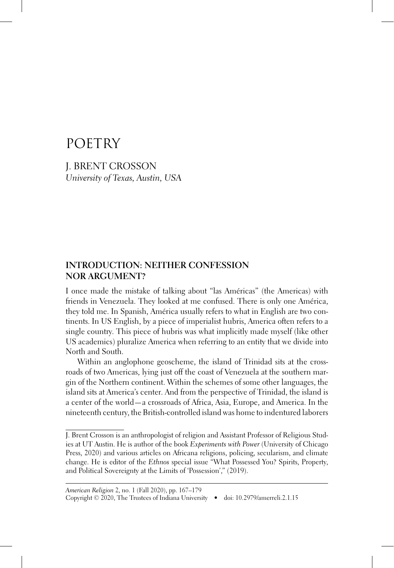# **POETRY**

**J. BRENT CROSSON** University of Texas, Austin, USA

### **INTRODUCTION: NEITHER CONFESSION NOR ARGUMENT?**

I once made the mistake of talking about "las Américas" (the Americas) with friends in Venezuela. They looked at me confused. There is only one América, they told me. In Spanish, América usually refers to what in English are two continents. In US English, by a piece of imperialist hubris, America often refers to a single country. This piece of hubris was what implicitly made myself (like other US academics) pluralize America when referring to an entity that we divide into North and South.

Within an anglophone geoscheme, the island of Trinidad sits at the crossroads of two Americas, lying just off the coast of Venezuela at the southern margin of the Northern continent. Within the schemes of some other languages, the island sits at America's center. And from the perspective of Trinidad, the island is a center of the world - a crossroads of Africa, Asia, Europe, and America. In the nineteenth century, the British-controlled island was home to indentured laborers

J. Brent Crosson is an anthropologist of religion and Assistant Professor of Religious Studies at UT Austin. He is author of the book *Experiments with Power* (University of Chicago Press, 2020) and various articles on Africana religions, policing, secularism, and climate change. He is editor of the Ethnos special issue "What Possessed You? Spirits, Property, and Political Sovereignty at the Limits of 'Possession'," (2019).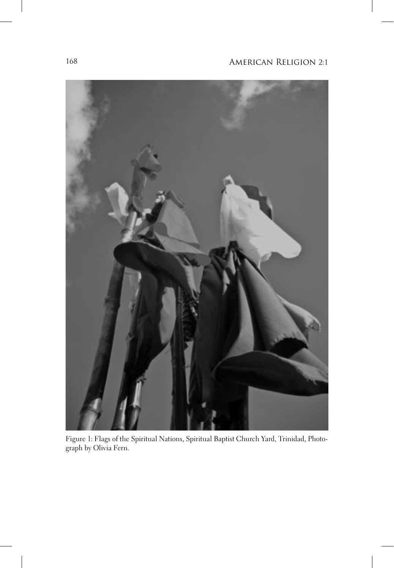

Figure 1: Flags of the Spiritual Nations, Spiritual Baptist Church Yard, Trinidad, Photograph by Olivia Fern.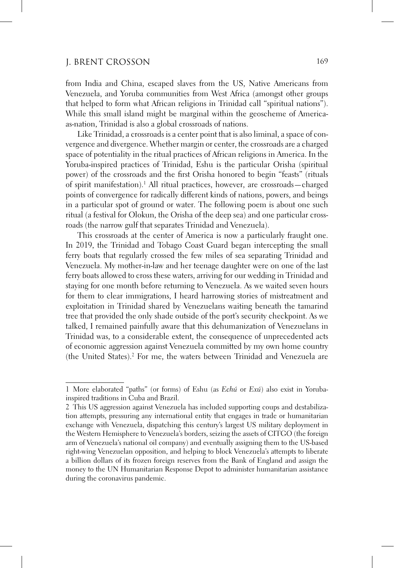from India and China, escaped slaves from the US, Native Americans from Venezuela, and Yoruba communities from West Africa (amongst other groups that helped to form what African religions in Trinidad call "spiritual nations"). While this small island might be marginal within the geoscheme of Americaas-nation, Trinidad is also a global crossroads of nations.

Like Trinidad, a crossroads is a center point that is also liminal, a space of convergence and divergence. Whether margin or center, the crossroads are a charged space of potentiality in the ritual practices of African religions in America. In the Yoruba-inspired practices of Trinidad, Eshu is the particular Orisha (spiritual power) of the crossroads and the first Orisha honored to begin "feasts" (rituals of spirit manifestation).<sup>1</sup> All ritual practices, however, are crossroads—charged points of convergence for radically different kinds of nations, powers, and beings in a particular spot of ground or water. The following poem is about one such ritual (a festival for Olokun, the Orisha of the deep sea) and one particular crossroads (the narrow gulf that separates Trinidad and Venezuela).

This crossroads at the center of America is now a particularly fraught one. In 2019, the Trinidad and Tobago Coast Guard began intercepting the small ferry boats that regularly crossed the few miles of sea separating Trinidad and Venezuela. My mother-in-law and her teenage daughter were on one of the last ferry boats allowed to cross these waters, arriving for our wedding in Trinidad and staying for one month before returning to Venezuela. As we waited seven hours for them to clear immigrations, I heard harrowing stories of mistreatment and exploitation in Trinidad shared by Venezuelans waiting beneath the tamarind tree that provided the only shade outside of the port's security checkpoint. As we talked, I remained painfully aware that this dehumanization of Venezuelans in Trinidad was, to a considerable extent, the consequence of unprecedented acts of economic aggression against Venezuela committed by my own home country (the United States).<sup>2</sup> For me, the waters between Trinidad and Venezuela are

<sup>1</sup> More elaborated "paths" (or forms) of Eshu (as Echú or Exú) also exist in Yorubainspired traditions in Cuba and Brazil.

<sup>2</sup> This US aggression against Venezuela has included supporting coups and destabilization attempts, pressuring any international entity that engages in trade or humanitarian exchange with Venezuela, dispatching this century's largest US military deployment in the Western Hemisphere to Venezuela's borders, seizing the assets of CITGO (the foreign arm of Venezuela's national oil company) and eventually assigning them to the US-based right-wing Venezuelan opposition, and helping to block Venezuela's attempts to liberate a billion dollars of its frozen foreign reserves from the Bank of England and assign the money to the UN Humanitarian Response Depot to administer humanitarian assistance during the coronavirus pandemic.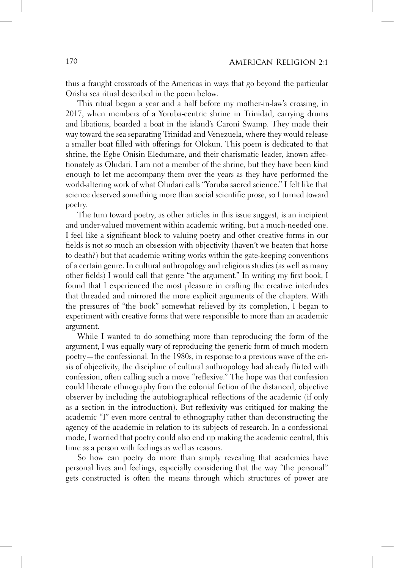thus a fraught crossroads of the Americas in ways that go beyond the particular Orisha sea ritual described in the poem below.

This ritual began a year and a half before my mother-in-law's crossing, in 2017, when members of a Yoruba-centric shrine in Trinidad, carrying drums and libations, boarded a boat in the island's Caroni Swamp. They made their way toward the sea separating Trinidad and Venezuela, where they would release a smaller boat filled with offerings for Olokun. This poem is dedicated to that shrine, the Egbe Onisin Eledumare, and their charismatic leader, known affectionately as Oludari. I am not a member of the shrine, but they have been kind enough to let me accompany them over the years as they have performed the world-altering work of what Oludari calls "Yoruba sacred science." I felt like that science deserved something more than social scientific prose, so I turned toward poetry.

The turn toward poetry, as other articles in this issue suggest, is an incipient and under-valued movement within academic writing, but a much-needed one. I feel like a significant block to valuing poetry and other creative forms in our fields is not so much an obsession with objectivity (haven't we beaten that horse to death?) but that academic writing works within the gate-keeping conventions of a certain genre. In cultural anthropology and religious studies (as well as many other fields) I would call that genre "the argument." In writing my first book, I found that I experienced the most pleasure in crafting the creative interludes that threaded and mirrored the more explicit arguments of the chapters. With the pressures of "the book" somewhat relieved by its completion, I began to experiment with creative forms that were responsible to more than an academic argument.

While I wanted to do something more than reproducing the form of the argument, I was equally wary of reproducing the generic form of much modern poetry—the confessional. In the 1980s, in response to a previous wave of the crisis of objectivity, the discipline of cultural anthropology had already flirted with confession, often calling such a move "reflexive." The hope was that confession could liberate ethnography from the colonial fiction of the distanced, objective observer by including the autobiographical reflections of the academic (if only as a section in the introduction). But reflexivity was critiqued for making the academic "I" even more central to ethnography rather than deconstructing the agency of the academic in relation to its subjects of research. In a confessional mode, I worried that poetry could also end up making the academic central, this time as a person with feelings as well as reasons.

So how can poetry do more than simply revealing that academics have personal lives and feelings, especially considering that the way "the personal" gets constructed is often the means through which structures of power are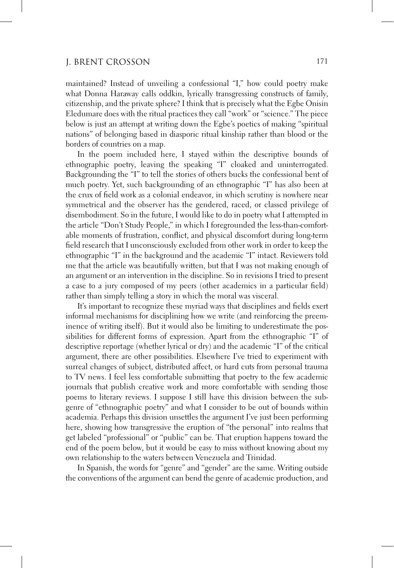maintained? Instead of unveiling a confessional "I," how could poetry make what Donna Haraway calls oddkin, lyrically transgressing constructs of family, citizenship, and the private sphere? I think that is precisely what the Egbe Onisin Eledumare does with the ritual practices they call "work" or "science." The piece below is just an attempt at writing down the Egbe's poetics of making "spiritual" nations" of belonging based in diasporic ritual kinship rather than blood or the borders of countries on a map.

In the poem included here, I stayed within the descriptive bounds of ethnographic poetry, leaving the speaking "I" cloaked and uninterrogated. Backgrounding the "I" to tell the stories of others bucks the confessional bent of much poetry. Yet, such backgrounding of an ethnographic "I" has also been at the crux of field work as a colonial endeavor, in which scrutiny is nowhere near symmetrical and the observer has the gendered, raced, or classed privilege of disembodiment. So in the future, I would like to do in poetry what I attempted in the article "Don't Study People," in which I foregrounded the less-than-comfortable moments of frustration, conflict, and physical discomfort during long-term field research that I unconsciously excluded from other work in order to keep the ethnographic "I" in the background and the academic "I" intact. Reviewers told me that the article was beautifully written, but that I was not making enough of an argument or an intervention in the discipline. So in revisions I tried to present a case to a jury composed of my peers (other academics in a particular field) rather than simply telling a story in which the moral was visceral.

It's important to recognize these myriad ways that disciplines and fields exert informal mechanisms for disciplining how we write (and reinforcing the preeminence of writing itself). But it would also be limiting to underestimate the possibilities for different forms of expression. Apart from the ethnographic "I" of descriptive reportage (whether lyrical or dry) and the academic "I" of the critical argument, there are other possibilities. Elsewhere I've tried to experiment with surreal changes of subject, distributed affect, or hard cuts from personal trauma to TV news. I feel less comfortable submitting that poetry to the few academic journals that publish creative work and more comfortable with sending those poems to literary reviews. I suppose I still have this division between the subgenre of "ethnographic poetry" and what I consider to be out of bounds within academia. Perhaps this division unsettles the argument I've just been performing here, showing how transgressive the eruption of "the personal" into realms that get labeled "professional" or "public" can be. That eruption happens toward the end of the poem below, but it would be easy to miss without knowing about my own relationship to the waters between Venezuela and Trinidad.

In Spanish, the words for "genre" and "gender" are the same. Writing outside the conventions of the argument can bend the genre of academic production, and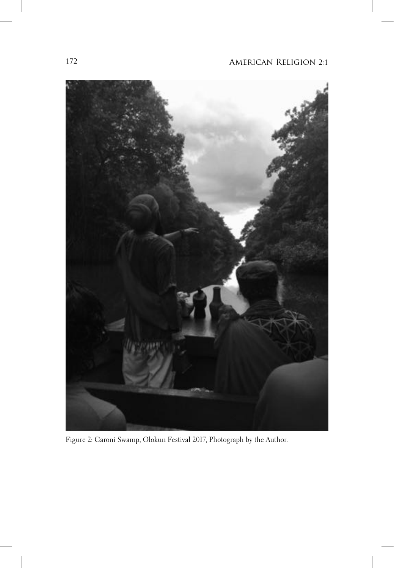

Figure 2: Caroni Swamp, Olokun Festival 2017, Photograph by the Author.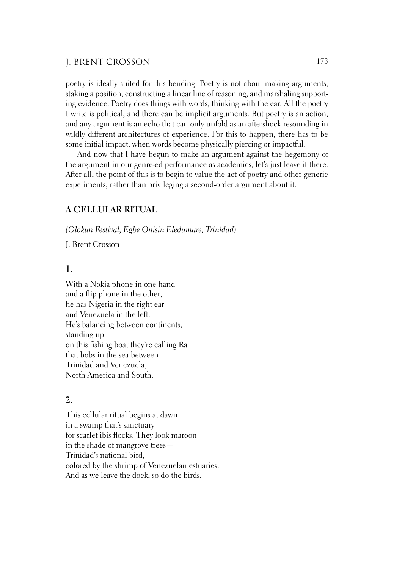poetry is ideally suited for this bending. Poetry is not about making arguments, staking a position, constructing a linear line of reasoning, and marshaling supporting evidence. Poetry does things with words, thinking with the ear. All the poetry I write is political, and there can be implicit arguments. But poetry is an action, and any argument is an echo that can only unfold as an aftershock resounding in wildly different architectures of experience. For this to happen, there has to be some initial impact, when words become physically piercing or impactful.

And now that I have begun to make an argument against the hegemony of the argument in our genre-ed performance as academics, let's just leave it there. After all, the point of this is to begin to value the act of poetry and other generic experiments, rather than privileging a second-order argument about it.

#### A CELLULAR RITUAL

(Olokun Festival, Egbe Onisin Eledumare, Trinidad)

J. Brent Crosson

#### $\mathbf{1}$ .

With a Nokia phone in one hand and a flip phone in the other, he has Nigeria in the right ear and Venezuela in the left. He's balancing between continents, standing up on this fishing boat they're calling Ra that bobs in the sea between Trinidad and Venezuela. North America and South.

### $\overline{2}$ .

This cellular ritual begins at dawn in a swamp that's sanctuary for scarlet ibis flocks. They look maroon in the shade of mangrove trees— Trinidad's national bird, colored by the shrimp of Venezuelan estuaries. And as we leave the dock, so do the birds.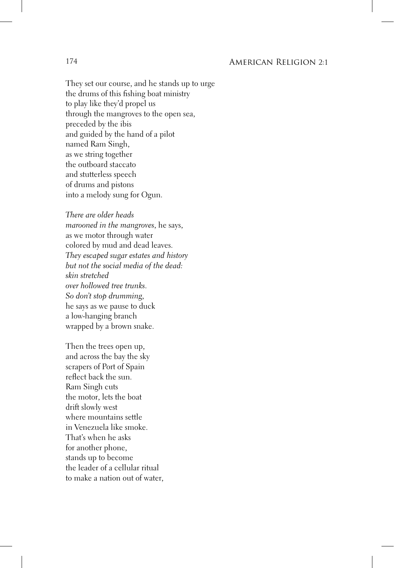They set our course, and he stands up to urge the drums of this fishing boat ministry to play like they'd propel us through the mangroves to the open sea, preceded by the ibis and guided by the hand of a pilot named Ram Singh, as we string together the outboard staccato and stutterless speech of drums and pistons into a melody sung for Ogun.

There are older heads marooned in the mangroves, he says, as we motor through water colored by mud and dead leaves. They escaped sugar estates and history but not the social media of the dead: skin stretched over hollowed tree trunks. So don't stop drumming, he says as we pause to duck a low-hanging branch wrapped by a brown snake.

Then the trees open up, and across the bay the sky scrapers of Port of Spain reflect back the sun. Ram Singh cuts the motor, lets the boat drift slowly west where mountains settle in Venezuela like smoke. That's when he asks for another phone, stands up to become the leader of a cellular ritual to make a nation out of water,

#### 174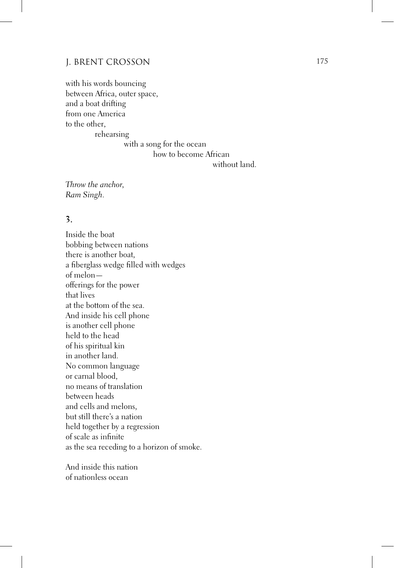with his words bouncing between Africa, outer space, and a boat drifting from one America to the other. rehearsing

with a song for the ocean how to become African

without land.

Throw the anchor, Ram Singh.

## $\overline{3}$ .

Inside the boat bobbing between nations there is another boat, a fiberglass wedge filled with wedges of melonofferings for the power that lives at the bottom of the sea. And inside his cell phone is another cell phone held to the head of his spiritual kin in another land. No common language or carnal blood, no means of translation between heads and cells and melons, but still there's a nation held together by a regression of scale as infinite as the sea receding to a horizon of smoke.

And inside this nation of nationless ocean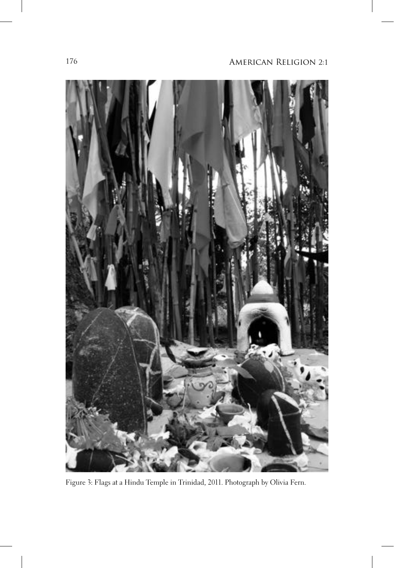

Figure 3: Flags at a Hindu Temple in Trinidad, 2011. Photograph by Olivia Fern.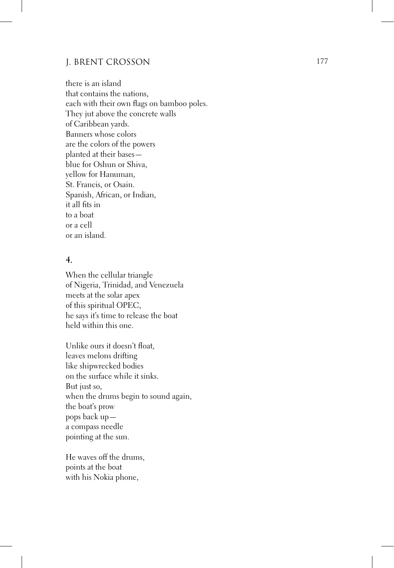there is an island that contains the nations. each with their own flags on bamboo poles. They jut above the concrete walls of Caribbean yards. Banners whose colors are the colors of the powers planted at their basesblue for Oshun or Shiva, yellow for Hanuman, St. Francis, or Osain. Spanish, African, or Indian, it all fits in to a boat or a cell or an island.

## $\overline{4}$ .

When the cellular triangle of Nigeria, Trinidad, and Venezuela meets at the solar apex of this spiritual OPEC, he says it's time to release the boat held within this one.

Unlike ours it doesn't float, leaves melons drifting like shipwrecked bodies on the surface while it sinks. But just so, when the drums begin to sound again, the boat's prow pops back upa compass needle pointing at the sun.

He waves off the drums, points at the boat with his Nokia phone,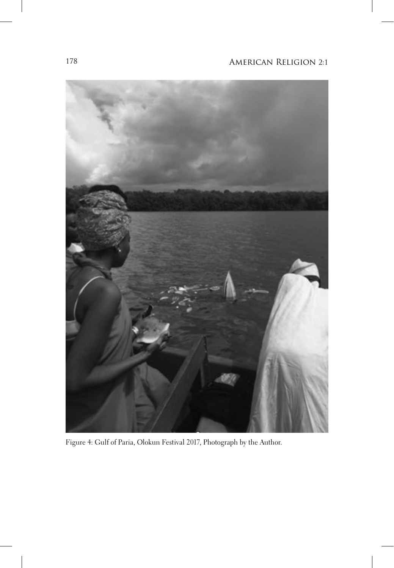

Figure 4: Gulf of Paria, Olokun Festival 2017, Photograph by the Author.